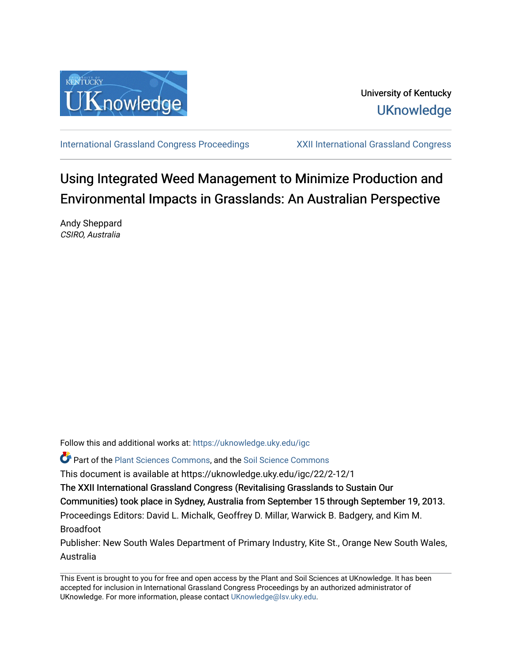

University of Kentucky **UKnowledge** 

[International Grassland Congress Proceedings](https://uknowledge.uky.edu/igc) [XXII International Grassland Congress](https://uknowledge.uky.edu/igc/22) 

# Using Integrated Weed Management to Minimize Production and Environmental Impacts in Grasslands: An Australian Perspective

Andy Sheppard CSIRO, Australia

Follow this and additional works at: [https://uknowledge.uky.edu/igc](https://uknowledge.uky.edu/igc?utm_source=uknowledge.uky.edu%2Figc%2F22%2F2-12%2F1&utm_medium=PDF&utm_campaign=PDFCoverPages)  Part of the [Plant Sciences Commons](http://network.bepress.com/hgg/discipline/102?utm_source=uknowledge.uky.edu%2Figc%2F22%2F2-12%2F1&utm_medium=PDF&utm_campaign=PDFCoverPages), and the [Soil Science Commons](http://network.bepress.com/hgg/discipline/163?utm_source=uknowledge.uky.edu%2Figc%2F22%2F2-12%2F1&utm_medium=PDF&utm_campaign=PDFCoverPages)  This document is available at https://uknowledge.uky.edu/igc/22/2-12/1 The XXII International Grassland Congress (Revitalising Grasslands to Sustain Our Communities) took place in Sydney, Australia from September 15 through September 19, 2013. Proceedings Editors: David L. Michalk, Geoffrey D. Millar, Warwick B. Badgery, and Kim M. Broadfoot Publisher: New South Wales Department of Primary Industry, Kite St., Orange New South Wales, Australia

This Event is brought to you for free and open access by the Plant and Soil Sciences at UKnowledge. It has been accepted for inclusion in International Grassland Congress Proceedings by an authorized administrator of UKnowledge. For more information, please contact [UKnowledge@lsv.uky.edu](mailto:UKnowledge@lsv.uky.edu).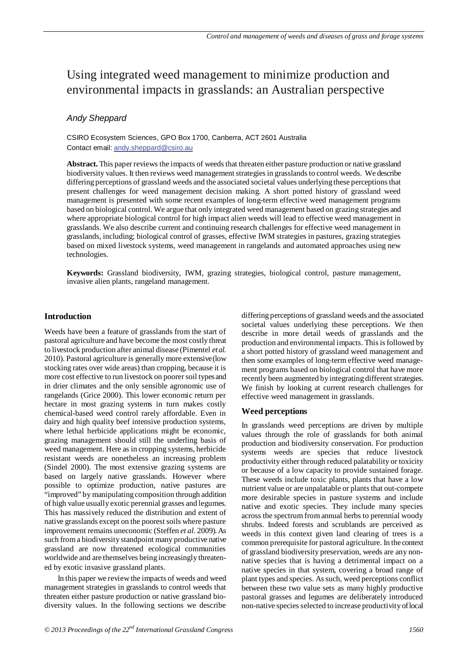# Using integrated weed management to minimize production and environmental impacts in grasslands: an Australian perspective

# *Andy Sheppard*

CSIRO Ecosystem Sciences, GPO Box 1700, Canberra, ACT 2601 Australia Contact email: andy.sheppard@csiro.au

**Abstract.** This paper reviews the impacts of weeds that threaten either pasture production or native grassland biodiversity values. It then reviews weed management strategies in grasslands to control weeds. We describe differing perceptions of grassland weeds and the associated societal values underlying these perceptionsthat present challenges for weed management decision making. A short potted history of grassland weed management is presented with some recent examples of long-term effective weed management programs based on biological control. We argue that only integrated weed management based on grazing strategies and where appropriate biological control for high impact alien weeds will lead to effective weed management in grasslands. We also describe current and continuing research challenges for effective weed management in grasslands, including; biological control of grasses, effective IWM strategies in pastures, grazing strategies based on mixed livestock systems, weed management in rangelands and automated approaches using new technologies.

**Keywords:** Grassland biodiversity, IWM, grazing strategies, biological control, pasture management, invasive alien plants, rangeland management.

### **Introduction**

Weeds have been a feature of grasslands from the start of pastoral agriculture and have become the most costly threat to livestock production after animal disease (Pimentel *et al.* 2010). Pastoral agriculture is generally more extensive (low stocking rates over wide areas) than cropping, because it is more cost effective to run livestock on poorer soil types and in drier climates and the only sensible agronomic use of rangelands (Grice 2000). This lower economic return per hectare in most grazing systems in turn makes costly chemical-based weed control rarely affordable. Even in dairy and high quality beef intensive production systems, where lethal herbicide applications might be economic, grazing management should still the underling basis of weed management. Here as in cropping systems, herbicide resistant weeds are nonetheless an increasing problem (Sindel 2000). The most extensive grazing systems are based on largely native grasslands. However where possible to optimize production, native pastures are "improved" by manipulating composition through addition of high value usually exotic perennial grasses and legumes. This has massively reduced the distribution and extent of native grasslands except on the poorest soils where pasture improvement remains uneconomic (Steffen *et al.* 2009). As such from a biodiversity standpoint many productive native grassland are now threatened ecological communities worldwide and are themselves being increasingly threatened by exotic invasive grassland plants.

In this paper we review the impacts of weeds and weed management strategies in grasslands to control weeds that threaten either pasture production or native grassland biodiversity values. In the following sections we describe

differing perceptions of grassland weeds and the associated societal values underlying these perceptions. We then describe in more detail weeds of grasslands and the production and environmental impacts. This is followed by a short potted history of grassland weed management and then some examples of long-term effective weed management programs based on biological control that have more recently been augmented by integrating different strategies. We finish by looking at current research challenges for effective weed management in grasslands.

#### **Weed perceptions**

In grasslands weed perceptions are driven by multiple values through the role of grasslands for both animal production and biodiversity conservation. For production systems weeds are species that reduce livestock productivity either through reduced palatability or toxicity or because of a low capacity to provide sustained forage. These weeds include toxic plants, plants that have a low nutrient value or are unpalatable or plants that out-compete more desirable species in pasture systems and include native and exotic species. They include many species across the spectrum from annual herbs to perennial woody shrubs. Indeed forests and scrublands are perceived as weeds in this context given land clearing of trees is a common prerequisite for pastoral agriculture. In the context of grassland biodiversity preservation, weeds are any nonnative species that is having a detrimental impact on a native species in that system, covering a broad range of plant types and species. As such, weed perceptions conflict between these two value sets as many highly productive pastoral grasses and legumes are deliberately introduced non-native species selected to increase productivity of local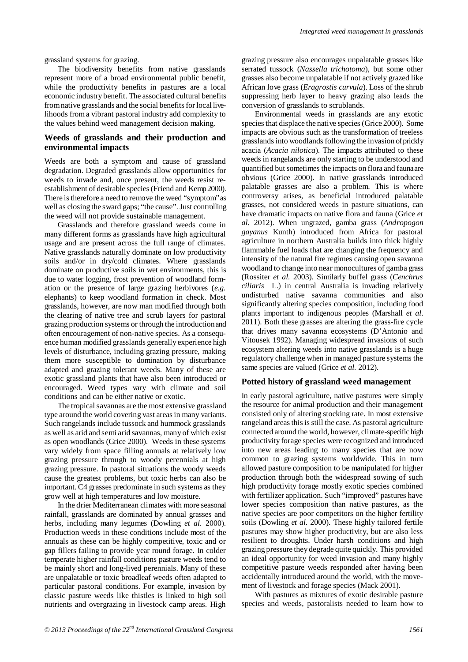grassland systems for grazing.

The biodiversity benefits from native grasslands represent more of a broad environmental public benefit, while the productivity benefits in pastures are a local economic industry benefit. The associated cultural benefits from native grasslands and the social benefits for local livelihoods from a vibrant pastoral industry add complexity to the values behind weed management decision making.

# **Weeds of grasslands and their production and environmental impacts**

Weeds are both a symptom and cause of grassland degradation. Degraded grasslands allow opportunities for weeds to invade and, once present, the weeds resist reestablishment of desirable species (Friend and Kemp 2000). There is therefore a need to remove the weed "symptom" as well as closing the sward gaps; "the cause". Just controlling the weed will not provide sustainable management.

Grasslands and therefore grassland weeds come in many different forms as grasslands have high agricultural usage and are present across the full range of climates. Native grasslands naturally dominate on low productivity soils and/or in dry/cold climates. Where grasslands dominate on productive soils in wet environments, this is due to water logging, frost prevention of woodland formation or the presence of large grazing herbivores (*e.g.* elephants) to keep woodland formation in check. Most grasslands, however, are now man modified through both the clearing of native tree and scrub layers for pastoral grazing production systems or through the introduction and often encouragement of non-native species. As a consequence human modified grasslands generally experience high levels of disturbance, including grazing pressure, making them more susceptible to domination by disturbance adapted and grazing tolerant weeds. Many of these are exotic grassland plants that have also been introduced or encouraged. Weed types vary with climate and soil conditions and can be either native or exotic.

The tropical savannas are the most extensive grassland type around the world covering vast areas in many variants. Such rangelands include tussock and hummock grasslands as well as arid and semi arid savannas, many of which exist as open woodlands (Grice 2000). Weeds in these systems vary widely from space filling annuals at relatively low grazing pressure through to woody perennials at high grazing pressure. In pastoral situations the woody weeds cause the greatest problems, but toxic herbs can also be important. C4 grasses predominate in such systems as they grow well at high temperatures and low moisture.

In the drier Mediterranean climates with more seasonal rainfall, grasslands are dominated by annual grasses and herbs, including many legumes (Dowling *et al.* 2000). Production weeds in these conditions include most of the annuals as these can be highly competitive, toxic and or gap fillers failing to provide year round forage. In colder temperate higher rainfall conditions pasture weeds tend to be mainly short and long-lived perennials. Many of these are unpalatable or toxic broadleaf weeds often adapted to particular pastoral conditions. For example, invasion by classic pasture weeds like thistles is linked to high soil nutrients and overgrazing in livestock camp areas. High

grazing pressure also encourages unpalatable grasses like serrated tussock (*Nassella trichotoma*), but some other grasses also become unpalatable if not actively grazed like African love grass (*Eragrostis curvula*). Loss of the shrub suppressing herb layer to heavy grazing also leads the conversion of grasslands to scrublands.

Environmental weeds in grasslands are any exotic species that displace the native species (Grice 2000). Some impacts are obvious such as the transformation of treeless grasslands into woodlands following the invasion of prickly acacia (*Acacia nilotica*). The impacts attributed to these weeds in rangelands are only starting to be understood and quantified but sometimes the impacts on flora and fauna are obvious (Grice 2000). In native grasslands introduced palatable grasses are also a problem. This is where controversy arises, as beneficial introduced palatable grasses, not considered weeds in pasture situations, can have dramatic impacts on native flora and fauna (Grice *et al.* 2012). When ungrazed, gamba grass (*Andropogon gayanus* Kunth) introduced from Africa for pastoral agriculture in northern Australia builds into thick highly flammable fuel loads that are changing the frequency and intensity of the natural fire regimes causing open savanna woodland to change into near monocultures of gamba grass (Rossiter *et al.* 2003). Similarly buffel grass (*Cenchrus ciliaris* L.) in central Australia is invading relatively undisturbed native savanna communities and also significantly altering species composition, including food plants important to indigenous peoples (Marshall *et al*. 2011). Both these grasses are altering the grass-fire cycle that drives many savanna ecosystems (D'Antonio and Vitousek 1992). Managing widespread invasions of such ecosystem altering weeds into native grasslands is a huge regulatory challenge when in managed pasture systems the same species are valued (Grice *et al.* 2012).

#### **Potted history of grassland weed management**

In early pastoral agriculture, native pastures were simply the resource for animal production and their management consisted only of altering stocking rate. In most extensive rangeland areas this is still the case. As pastoral agriculture connected around the world, however, climate-specific high productivity forage species were recognized and introduced into new areas leading to many species that are now common to grazing systems worldwide. This in turn allowed pasture composition to be manipulated for higher production through both the widespread sowing of such high productivity forage mostly exotic species combined with fertilizer application. Such "improved" pastures have lower species composition than native pastures, as the native species are poor competitors on the higher fertility soils (Dowling *et al.* 2000). These highly tailored fertile pastures may show higher productivity, but are also less resilient to droughts. Under harsh conditions and high grazing pressure they degrade quite quickly. This provided an ideal opportunity for weed invasion and many highly competitive pasture weeds responded after having been accidentally introduced around the world, with the movement of livestock and forage species (Mack 2001).

With pastures as mixtures of exotic desirable pasture species and weeds, pastoralists needed to learn how to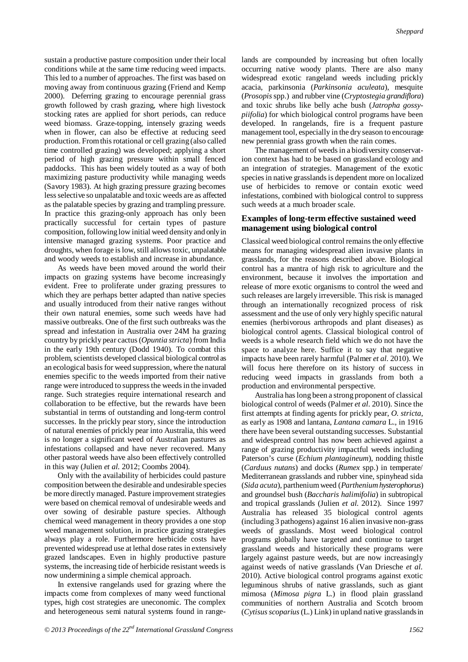sustain a productive pasture composition under their local conditions while at the same time reducing weed impacts. This led to a number of approaches. The first was based on moving away from continuous grazing (Friend and Kemp 2000). Deferring grazing to encourage perennial grass growth followed by crash grazing, where high livestock stocking rates are applied for short periods, can reduce weed biomass. Graze-topping, intensely grazing weeds when in flower, can also be effective at reducing seed production. From this rotational or cell grazing (also called time controlled grazing) was developed; applying a short period of high grazing pressure within small fenced paddocks. This has been widely touted as a way of both maximizing pasture productivity while managing weeds (Savory 1983). At high grazing pressure grazing becomes less selective so unpalatable and toxic weeds are as affected as the palatable species by grazing and trampling pressure. In practice this grazing-only approach has only been practically successful for certain types of pasture composition, following low initial weed density and only in intensive managed grazing systems. Poor practice and droughts, when forage is low, still allows toxic, unpalatable and woody weeds to establish and increase in abundance.

As weeds have been moved around the world their impacts on grazing systems have become increasingly evident. Free to proliferate under grazing pressures to which they are perhaps better adapted than native species and usually introduced from their native ranges without their own natural enemies, some such weeds have had massive outbreaks. One of the first such outbreaks was the spread and infestation in Australia over 24M ha grazing country by prickly pear cactus (*Opuntia stricta*) from India in the early 19th century (Dodd 1940). To combat this problem, scientists developed classical biological control as an ecological basis for weed suppression, where the natural enemies specific to the weeds imported from their native range were introduced to suppress the weeds in the invaded range. Such strategies require international research and collaboration to be effective, but the rewards have been substantial in terms of outstanding and long-term control successes. In the prickly pear story, since the introduction of natural enemies of prickly pear into Australia, this weed is no longer a significant weed of Australian pastures as infestations collapsed and have never recovered. Many other pastoral weeds have also been effectively controlled in this way (Julien *et al.* 2012; Coombs 2004).

Only with the availability of herbicides could pasture composition between the desirable and undesirable species be more directly managed. Pasture improvement strategies were based on chemical removal of undesirable weeds and over sowing of desirable pasture species. Although chemical weed management in theory provides a one stop weed management solution, in practice grazing strategies always play a role. Furthermore herbicide costs have prevented widespread use at lethal dose rates in extensively grazed landscapes. Even in highly productive pasture systems, the increasing tide of herbicide resistant weeds is now undermining a simple chemical approach.

In extensive rangelands used for grazing where the impacts come from complexes of many weed functional types, high cost strategies are uneconomic. The complex and heterogeneous semi natural systems found in range-

lands are compounded by increasing but often locally occurring native woody plants. There are also many widespread exotic rangeland weeds including prickly acacia, parkinsonia (*Parkinsonia aculeata*), mesquite (*Prosopis*spp.) and rubber vine (*Cryptostegia grandiflora*) and toxic shrubs like belly ache bush (*Jatropha gossypiifolia*) for which biological control programs have been developed. In rangelands, fire is a frequent pasture management tool, especially in the dry season to encourage new perennial grass growth when the rain comes.

The management of weeds in a biodiversity conservation context has had to be based on grassland ecology and an integration of strategies. Management of the exotic species in native grasslands is dependent more on localized use of herbicides to remove or contain exotic weed infestations, combined with biological control to suppress such weeds at a much broader scale.

# **Examples of long-term effective sustained weed management using biological control**

Classical weed biological control remains the only effective means for managing widespread alien invasive plants in grasslands, for the reasons described above. Biological control has a mantra of high risk to agriculture and the environment, because it involves the importation and release of more exotic organisms to control the weed and such releases are largely irreversible. This risk is managed through an internationally recognized process of risk assessment and the use of only very highly specific natural enemies (herbivorous arthropods and plant diseases) as biological control agents. Classical biological control of weeds is a whole research field which we do not have the space to analyze here. Suffice it to say that negative impacts have been rarely harmful (Palmer *et al.* 2010). We will focus here therefore on its history of success in reducing weed impacts in grasslands from both a production and environmental perspective.

Australia has long been a strong proponent of classical biological control of weeds (Palmer *et al*. 2010). Since the first attempts at finding agents for prickly pear, *O. stricta*, as early as 1908 and lantana, *Lantana camara* L., in 1916 there have been several outstanding successes. Substantial and widespread control has now been achieved against a range of grazing productivity impactful weeds including Paterson's curse (*Echium plantagineum*), nodding thistle (*Carduus nutans*) and docks (*Rumex* spp.) in temperate/ Mediterranean grasslands and rubber vine, spinyhead sida (*Sida acuta*), parthenium weed (*Parthenium hysterophorus*) and groundsel bush (*Baccharis halimifolia*) in subtropical and tropical grasslands (Julien *et al.* 2012). Since 1997 Australia has released 35 biological control agents (including 3 pathogens) against 16 alien invasive non-grass weeds of grasslands. Most weed biological control programs globally have targeted and continue to target grassland weeds and historically these programs were largely against pasture weeds, but are now increasingly against weeds of native grasslands (Van Driesche *et al.* 2010). Active biological control programs against exotic leguminous shrubs of native grasslands, such as giant mimosa (*Mimosa pigra* L.) in flood plain grassland communities of northern Australia and Scotch broom (*Cytisus scoparius*(L.) Link) in upland native grasslands in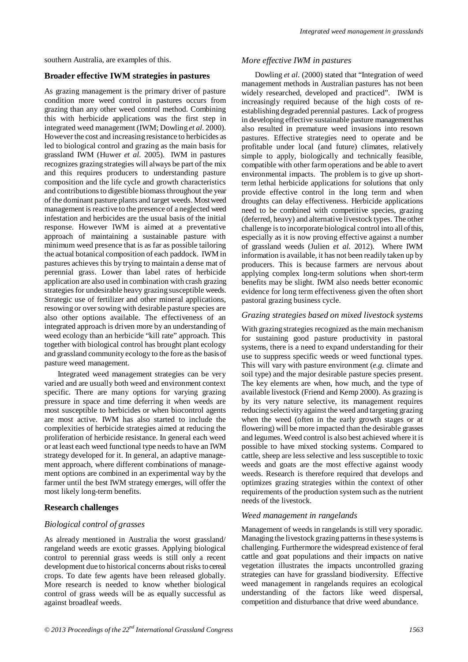southern Australia, are examples of this.

### **Broader effective IWM strategies in pastures**

As grazing management is the primary driver of pasture condition more weed control in pastures occurs from grazing than any other weed control method. Combining this with herbicide applications was the first step in integrated weed management (IWM; Dowling *et al.* 2000). However the cost and increasing resistance to herbicides as led to biological control and grazing as the main basis for grassland IWM (Huwer *et al.* 2005). IWM in pastures recognizes grazing strategies will always be part of the mix and this requires producers to understanding pasture composition and the life cycle and growth characteristics and contributions to digestible biomass throughout the year of the dominant pasture plants and target weeds. Most weed management is reactive to the presence of a neglected weed infestation and herbicides are the usual basis of the initial response. However IWM is aimed at a preventative approach of maintaining a sustainable pasture with minimum weed presence that is as far as possible tailoring the actual botanical composition of each paddock. IWM in pastures achieves this by trying to maintain a dense mat of perennial grass. Lower than label rates of herbicide application are also used in combination with crash grazing strategies for undesirable heavy grazing susceptible weeds. Strategic use of fertilizer and other mineral applications, resowing or over sowing with desirable pasture species are also other options available. The effectiveness of an integrated approach is driven more by an understanding of weed ecology than an herbicide "kill rate" approach. This together with biological control has brought plant ecology and grassland community ecology to the fore as the basis of pasture weed management.

Integrated weed management strategies can be very varied and are usually both weed and environment context specific. There are many options for varying grazing pressure in space and time deferring it when weeds are most susceptible to herbicides or when biocontrol agents are most active. IWM has also started to include the complexities of herbicide strategies aimed at reducing the proliferation of herbicide resistance. In general each weed or at least each weed functional type needs to have an IWM strategy developed for it. In general, an adaptive management approach, where different combinations of management options are combined in an experimental way by the farmer until the best IWM strategy emerges, will offer the most likely long-term benefits.

### **Research challenges**

#### *Biological control of grasses*

As already mentioned in Australia the worst grassland/ rangeland weeds are exotic grasses. Applying biological control to perennial grass weeds is still only a recent development due to historical concerns about risks to cereal crops. To date few agents have been released globally. More research is needed to know whether biological control of grass weeds will be as equally successful as against broadleaf weeds.

#### *More effective IWM in pastures*

Dowling *et al.* (2000) stated that "Integration of weed management methods in Australian pastures has not been widely researched, developed and practiced". IWM is increasingly required because of the high costs of reestablishing degraded perennial pastures. Lack of progress in developing effective sustainable pasture management has also resulted in premature weed invasions into resown pastures. Effective strategies need to operate and be profitable under local (and future) climates, relatively simple to apply, biologically and technically feasible, compatible with other farm operations and be able to avert environmental impacts. The problem is to give up shortterm lethal herbicide applications for solutions that only provide effective control in the long term and when droughts can delay effectiveness. Herbicide applications need to be combined with competitive species, grazing (deferred, heavy) and alternative livestock types. The other challenge is to incorporate biological control into all of this, especially as it is now proving effective against a number of grassland weeds (Julien *et al.* 2012). Where IWM information is available, it has not been readily taken up by producers. This is because farmers are nervous about applying complex long-term solutions when short-term benefits may be slight. IWM also needs better economic evidence for long term effectiveness given the often short pastoral grazing business cycle.

### *Grazing strategies based on mixed livestock systems*

With grazing strategies recognized as the main mechanism for sustaining good pasture productivity in pastoral systems, there is a need to expand understanding for their use to suppress specific weeds or weed functional types. This will vary with pasture environment (*e.g.* climate and soil type) and the major desirable pasture species present. The key elements are when, how much, and the type of available livestock (Friend and Kemp 2000). As grazing is by its very nature selective, its management requires reducing selectivity against the weed and targeting grazing when the weed (often in the early growth stages or at flowering) will be more impacted than the desirable grasses and legumes. Weed control is also best achieved where it is possible to have mixed stocking systems. Compared to cattle, sheep are less selective and less susceptible to toxic weeds and goats are the most effective against woody weeds. Research is therefore required that develops and optimizes grazing strategies within the context of other requirements of the production system such as the nutrient needs of the livestock.

#### *Weed management in rangelands*

Management of weeds in rangelands is still very sporadic. Managing the livestock grazing patterns in these systems is challenging. Furthermore the widespread existence of feral cattle and goat populations and their impacts on native vegetation illustrates the impacts uncontrolled grazing strategies can have for grassland biodiversity. Effective weed management in rangelands requires an ecological understanding of the factors like weed dispersal, competition and disturbance that drive weed abundance.